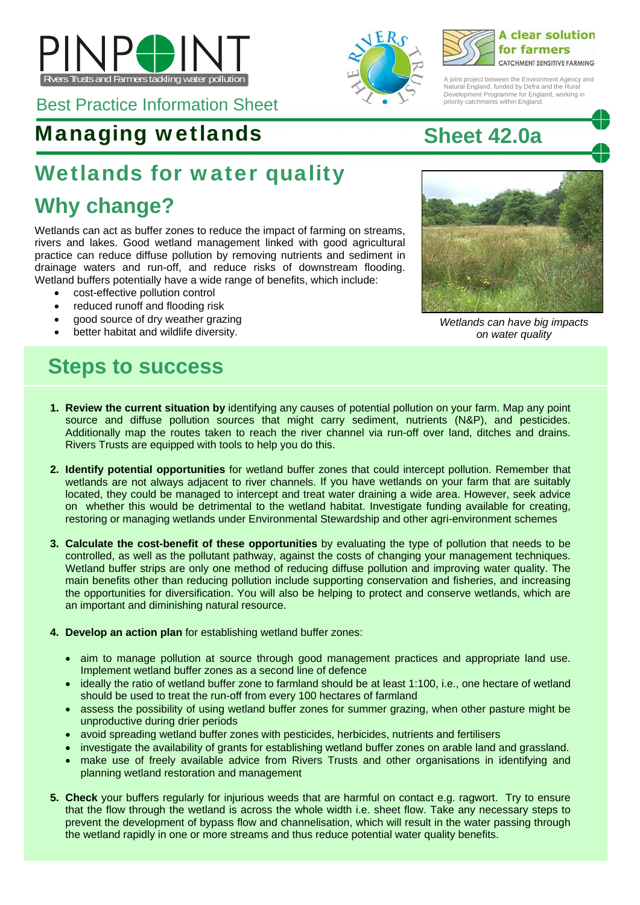





A joint project between the Environment Agency and Natural England, funded by Defra and the Rural Development Programme for England, working in priority catchments within England.

# Best Practice Information Sheet

### Managing wetlands **Sheet 42.0a**

### Wetlands for water quality

### **Why change?**

Wetlands can act as buffer zones to reduce the impact of farming on streams, rivers and lakes. Good wetland management linked with good agricultural practice can reduce diffuse pollution by removing nutrients and sediment in drainage waters and run-off, and reduce risks of downstream flooding. Wetland buffers potentially have a wide range of benefits, which include:

- cost-effective pollution control
- reduced runoff and flooding risk
- good source of dry weather grazing
- 

### **Steps to success**

- **1. Review the current situation by** identifying any causes of potential pollution on your farm. Map any point source and diffuse pollution sources that might carry sediment, nutrients (N&P), and pesticides. Additionally map the routes taken to reach the river channel via run-off over land, ditches and drains. Rivers Trusts are equipped with tools to help you do this.
- **2. Identify potential opportunities** for wetland buffer zones that could intercept pollution. Remember that wetlands are not always adjacent to river channels. If you have wetlands on your farm that are suitably located, they could be managed to intercept and treat water draining a wide area. However, seek advice on whether this would be detrimental to the wetland habitat. Investigate funding available for creating, restoring or managing wetlands under Environmental Stewardship and other agri-environment schemes
- **3. Calculate the cost-benefit of these opportunities** by evaluating the type of pollution that needs to be controlled, as well as the pollutant pathway, against the costs of changing your management techniques. Wetland buffer strips are only one method of reducing diffuse pollution and improving water quality. The main benefits other than reducing pollution include supporting conservation and fisheries, and increasing the opportunities for diversification. You will also be helping to protect and conserve wetlands, which are an important and diminishing natural resource.
- **4. Develop an action plan** for establishing wetland buffer zones:
	- aim to manage pollution at source through good management practices and appropriate land use. Implement wetland buffer zones as a second line of defence
	- ideally the ratio of wetland buffer zone to farmland should be at least 1:100, i.e., one hectare of wetland should be used to treat the run-off from every 100 hectares of farmland
	- assess the possibility of using wetland buffer zones for summer grazing, when other pasture might be unproductive during drier periods
	- avoid spreading wetland buffer zones with pesticides, herbicides, nutrients and fertilisers
	- investigate the availability of grants for establishing wetland buffer zones on arable land and grassland.
	- make use of freely available advice from Rivers Trusts and other organisations in identifying and planning wetland restoration and management
- **5. Check** your buffers regularly for injurious weeds that are harmful on contact e.g. ragwort. Try to ensure that the flow through the wetland is across the whole width i.e. sheet flow. Take any necessary steps to prevent the development of bypass flow and channelisation, which will result in the water passing through the wetland rapidly in one or more streams and thus reduce potential water quality benefits.



 better habitat and wildlife diversity. *Wetlands can have big impacts on water quality*